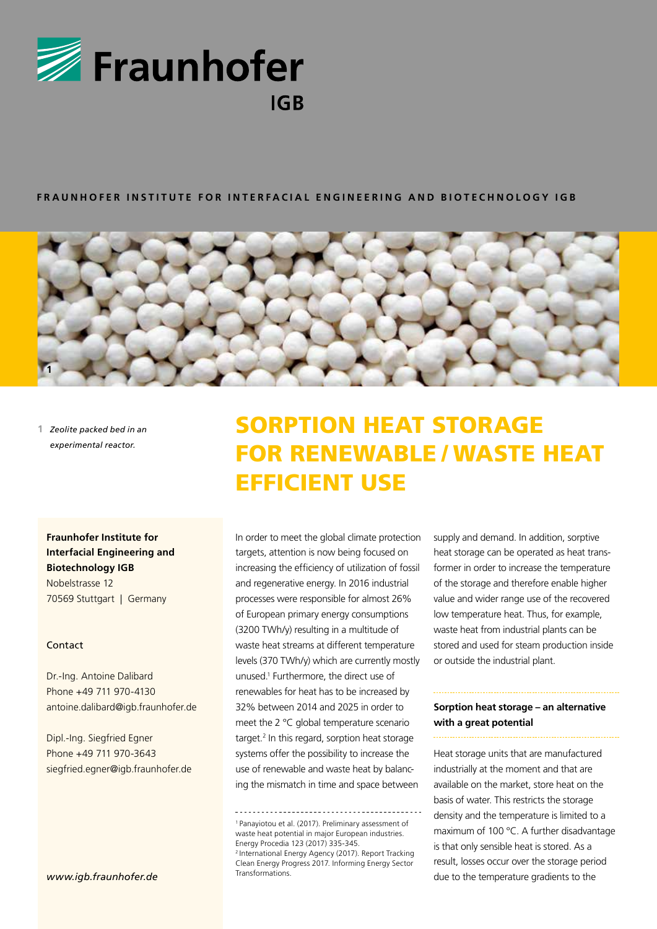

## **FRAUNHOFER INSTITUTE FOR INTERFACIAL ENGINEERING AND BIOTECHNOLOGY IGB**



**1** *Zeolite packed bed in an experimental reactor.*

**Fraunhofer Institute for Interfacial Engineering and Biotechnology IGB** Nobelstrasse 12 70569 Stuttgart | Germany

## Contact

Dr.-Ing. Antoine Dalibard Phone +49 711 970-4130 antoine.dalibard@igb.fraunhofer.de

Dipl.-Ing. Siegfried Egner Phone +49 711 970-3643 siegfried.egner@igb.fraunhofer.de

# SORPTION HEAT STORAGE FOR RENEWABLE / WASTE HEAT EFFICIENT USE

In order to meet the global climate protection targets, attention is now being focused on increasing the efficiency of utilization of fossil and regenerative energy. In 2016 industrial processes were responsible for almost 26% of European primary energy consumptions (3200 TWh/y) resulting in a multitude of waste heat streams at different temperature levels (370 TWh/y) which are currently mostly unused.1 Furthermore, the direct use of renewables for heat has to be increased by 32% between 2014 and 2025 in order to meet the 2 °C global temperature scenario target.<sup>2</sup> In this regard, sorption heat storage systems offer the possibility to increase the use of renewable and waste heat by balancing the mismatch in time and space between

1 Panayiotou et al. (2017). Preliminary assessment of waste heat potential in major European industries. Energy Procedia 123 (2017) 335-345. 2 International Energy Agency (2017). Report Tracking Clean Energy Progress 2017. Informing Energy Sector Transformations.

supply and demand. In addition, sorptive heat storage can be operated as heat transformer in order to increase the temperature of the storage and therefore enable higher value and wider range use of the recovered low temperature heat. Thus, for example, waste heat from industrial plants can be stored and used for steam production inside or outside the industrial plant.

# **Sorption heat storage – an alternative with a great potential**

Heat storage units that are manufactured industrially at the moment and that are available on the market, store heat on the basis of water. This restricts the storage density and the temperature is limited to a maximum of 100 °C. A further disadvantage is that only sensible heat is stored. As a result, losses occur over the storage period due to the temperature gradients to the